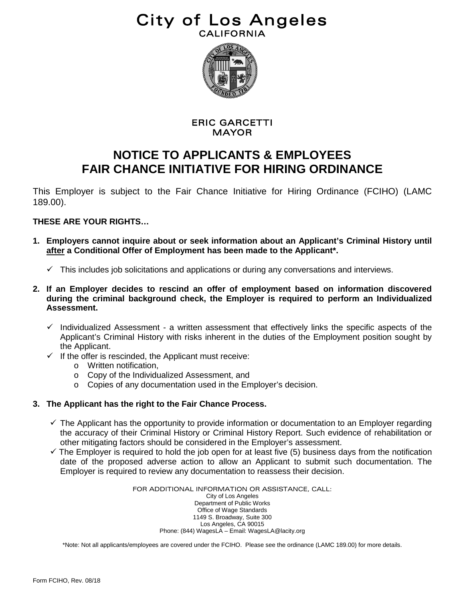## City of Los Angeles



### ERIC GARCETTI MAYOR

### **NOTICE TO APPLICANTS & EMPLOYEES FAIR CHANCE INITIATIVE FOR HIRING ORDINANCE**

This Employer is subject to the Fair Chance Initiative for Hiring Ordinance (FCIHO) (LAMC 189.00).

### **THESE ARE YOUR RIGHTS…**

- **1. Employers cannot inquire about or seek information about an Applicant's Criminal History until after a Conditional Offer of Employment has been made to the Applicant\*.**
	- $\checkmark$  This includes job solicitations and applications or during any conversations and interviews.
- **2. If an Employer decides to rescind an offer of employment based on information discovered during the criminal background check, the Employer is required to perform an Individualized Assessment.**
	- $\checkmark$  Individualized Assessment a written assessment that effectively links the specific aspects of the Applicant's Criminal History with risks inherent in the duties of the Employment position sought by the Applicant.
	- $\checkmark$  If the offer is rescinded, the Applicant must receive:
		- o Written notification,
		- o Copy of the Individualized Assessment, and
		- o Copies of any documentation used in the Employer's decision.

### **3. The Applicant has the right to the Fair Chance Process.**

- $\checkmark$  The Applicant has the opportunity to provide information or documentation to an Employer regarding the accuracy of their Criminal History or Criminal History Report. Such evidence of rehabilitation or other mitigating factors should be considered in the Employer's assessment.
- $\checkmark$  The Employer is required to hold the job open for at least five (5) business days from the notification date of the proposed adverse action to allow an Applicant to submit such documentation. The Employer is required to review any documentation to reassess their decision.

FOR ADDITIONAL INFORMATION OR ASSISTANCE, CALL: City of Los Angeles Department of Public Works Office of Wage Standards 1149 S. Broadway, Suite 300 Los Angeles, CA 90015 Phone: (844) WagesLA – Email: WagesLA@lacity.org

\*Note: Not all applicants/employees are covered under the FCIHO. Please see the ordinance (LAMC 189.00) for more details.